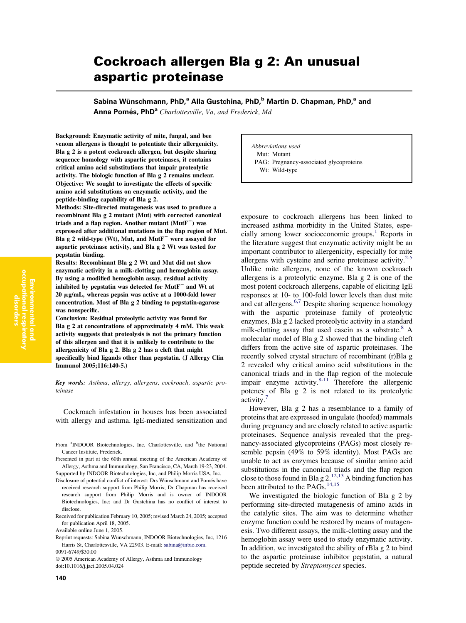# Cockroach allergen Bla g 2: An unusual aspartic proteinase

Sabina Wünschmann, PhD,<sup>a</sup> Alla Gustchina, PhD,<sup>b</sup> Martin D. Chapman, PhD,<sup>a</sup> and

Anna Pomés, PhD<sup>a</sup> Charlottesville, Va, and Frederick, Md

Background: Enzymatic activity of mite, fungal, and bee venom allergens is thought to potentiate their allergenicity. Bla g 2 is a potent cockroach allergen, but despite sharing sequence homology with aspartic proteinases, it contains critical amino acid substitutions that impair proteolytic activity. The biologic function of Bla g 2 remains unclear. Objective: We sought to investigate the effects of specific amino acid substitutions on enzymatic activity, and the peptide-binding capability of Bla g 2.

Methods: Site-directed mutagenesis was used to produce a recombinant Bla g 2 mutant (Mut) with corrected canonical triads and a flap region. Another mutant  $(Mutf^-)$  was expressed after additional mutations in the flap region of Mut. Bla g 2 wild-type (Wt), Mut, and MutF<sup> $-$ </sup> were assayed for aspartic proteinase activity, and Bla g 2 Wt was tested for pepstatin binding.

Results: Recombinant Bla g 2 Wt and Mut did not show enzymatic activity in a milk-clotting and hemoglobin assay. By using a modified hemoglobin assay, residual activity inhibited by pepstatin was detected for  $M$ ut $F^-$  and Wt at 20 mg/mL, whereas pepsin was active at a 1000-fold lower concentration. Most of Bla g 2 binding to pepstatin-agarose was nonspecific.

Conclusion: Residual proteolytic activity was found for Bla g 2 at concentrations of approximately 4 mM. This weak activity suggests that proteolysis is not the primary function of this allergen and that it is unlikely to contribute to the allergenicity of Bla g 2. Bla g 2 has a cleft that might specifically bind ligands other than pepstatin. (J Allergy Clin Immunol 2005;116:140-5.)

Key words: Asthma, allergy, allergens, cockroach, aspartic proteinase

Cockroach infestation in houses has been associated with allergy and asthma. IgE-mediated sensitization and

Abbreviations used Mut: Mutant PAG: Pregnancy-associated glycoproteins Wt: Wild-type

exposure to cockroach allergens has been linked to increased asthma morbidity in the United States, espe-cially among lower socioeconomic groups.<sup>[1](#page-4-0)</sup> Reports in the literature suggest that enzymatic activity might be an important contributor to allergenicity, especially for mite allergens with cysteine and serine proteinase activity. $2-5$ Unlike mite allergens, none of the known cockroach allergens is a proteolytic enzyme. Bla g 2 is one of the most potent cockroach allergens, capable of eliciting IgE responses at 10- to 100-fold lower levels than dust mite and cat allergens.[6,7](#page-5-0) Despite sharing sequence homology with the aspartic proteinase family of proteolytic enzymes, Bla g 2 lacked proteolytic activity in a standard milk-clotting assay that used case in as a substrate. $8 A$ molecular model of Bla g 2 showed that the binding cleft differs from the active site of aspartic proteinases. The recently solved crystal structure of recombinant (r)Bla g 2 revealed why critical amino acid substitutions in the canonical triads and in the flap region of the molecule impair enzyme activity. $8-11$  Therefore the allergenic potency of Bla g 2 is not related to its proteolytic activity.'

However, Bla g 2 has a resemblance to a family of proteins that are expressed in ungulate (hoofed) mammals during pregnancy and are closely related to active aspartic proteinases. Sequence analysis revealed that the pregnancy-associated glycoproteins (PAGs) most closely resemble pepsin (49% to 59% identity). Most PAGs are unable to act as enzymes because of similar amino acid substitutions in the canonical triads and the flap region close to those found in Bla g  $2.^{12,13}$  $2.^{12,13}$  $2.^{12,13}$  A binding function has been attributed to the  $PAGs$ .<sup>[14,15](#page-5-0)</sup>

We investigated the biologic function of Bla g 2 by performing site-directed mutagenesis of amino acids in the catalytic sites. The aim was to determine whether enzyme function could be restored by means of mutagenesis. Two different assays, the milk-clotting assay and the hemoglobin assay were used to study enzymatic activity. In addition, we investigated the ability of rBla g 2 to bind to the aspartic proteinase inhibitor pepstatin, a natural peptide secreted by Streptomyces species.

From <sup>a</sup>INDOOR Biotechnologies, Inc, Charlottesville, and <sup>b</sup>the National Cancer Institute, Frederick.

Presented in part at the 60th annual meeting of the American Academy of Allergy, Asthma and Immunology, San Francisco, CA, March 19-23, 2004. Supported by INDOOR Biotechnologies, Inc, and Philip Morris USA, Inc.

Disclosure of potential conflict of interest: Drs Wünschmann and Pomés have received research support from Philip Morris; Dr Chapman has received research support from Philip Morris and is owner of INDOOR Biotechnologies, Inc; and Dr Gustchina has no conflict of interest to disclose.

Received for publication February 10, 2005; revised March 24, 2005; accepted for publication April 18, 2005.

Available online June 1, 2005.

Reprint requests: Sabina Wünschmann, INDOOR Biotechnologies, Inc, 1216 Harris St, Charlottesville, VA 22903. E-mail: [sabina@inbio.com.](mailto:sabina@inbio.com) 0091-6749/\$30.00

2005 American Academy of Allergy, Asthma and Immunology doi:10.1016/j.jaci.2005.04.024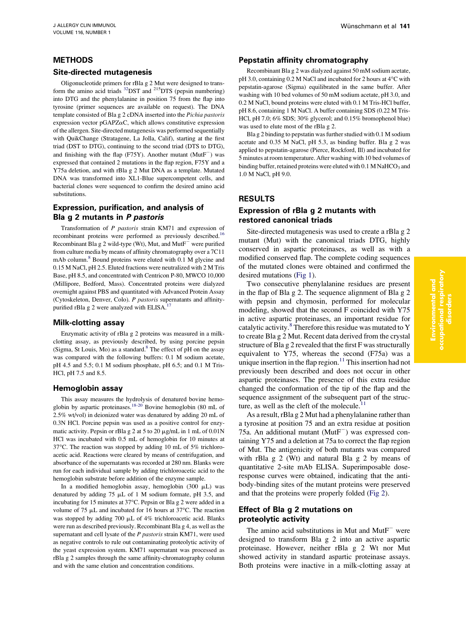# METHODS

#### Site-directed mutagenesis

Oligonucleotide primers for rBla g 2 Mut were designed to transform the amino acid triads  $^{32}$  $^{32}$  $^{32}$ DST and  $^{215}$ DTS (pepsin numbering) into DTG and the phenylalanine in position 75 from the flap into tyrosine (primer sequences are available on request). The DNA template consisted of Bla g 2 cDNA inserted into the Pichia pastoris expression vector  $p\text{GAPZ}\alpha\text{C}$ , which allows constitutive expression of the allergen. Site-directed mutagenesis was performed sequentially with QuikChange (Stratagene, La Jolla, Calif), starting at the first triad (DST to DTG), continuing to the second triad (DTS to DTG), and finishing with the flap (F75Y). Another mutant  $(MutF^-)$  was expressed that contained 2 mutations in the flap region, F75Y and a Y75a deletion, and with rBla g 2 Mut DNA as a template. Mutated DNA was transformed into XL1-Blue supercompetent cells, and bacterial clones were sequenced to confirm the desired amino acid substitutions.

# Expression, purification, and analysis of Bla g 2 mutants in P pastoris

Transformation of P pastoris strain KM71 and expression of recombinant proteins were performed as previously described[.16](#page-5-0) Recombinant Bla g 2 wild-type (Wt), Mut, and  $M$ ut $F^-$  were purified from culture media by means of affinity chromatography over a 7C11 mAb column.<sup>[8](#page-5-0)</sup> Bound proteins were eluted with 0.1 M glycine and 0.15 M NaCl, pH 2.5. Eluted fractions were neutralized with 2 M Tris Base, pH 8.5, and concentrated with Centricon P-80, MWCO 10,000 (Millipore, Bedford, Mass). Concentrated proteins were dialyzed overnight against PBS and quantitated with Advanced Protein Assay (Cytoskeleton, Denver, Colo). P pastoris supernatants and affinitypurified rBla g 2 were analyzed with ELISA.<sup>1</sup>

#### Milk-clotting assay

Enzymatic activity of rBla g 2 proteins was measured in a milkclotting assay, as previously described, by using porcine pepsin (Sigma, St Louis, Mo) as a standard[.8](#page-5-0) The effect of pH on the assay was compared with the following buffers: 0.1 M sodium acetate, pH 4.5 and 5.5; 0.1 M sodium phosphate, pH 6.5; and 0.1 M Tris-HCl, pH 7.5 and 8.5.

#### Hemoglobin assay

This assay measures the hydrolysis of denatured bovine hemoglobin by aspartic proteinases[.18-20](#page-5-0) Bovine hemoglobin (80 mL of 2.5% wt/vol) in deionized water was denatured by adding 20 mL of 0.3N HCl. Porcine pepsin was used as a positive control for enzymatic activity. Pepsin or rBla g 2 at 5 to 20  $\mu$ g/mL in 1 mL of 0.01N HCl was incubated with 0.5 mL of hemoglobin for 10 minutes at 37°C. The reaction was stopped by adding 10 mL of 5% trichloroacetic acid. Reactions were cleared by means of centrifugation, and absorbance of the supernatants was recorded at 280 nm. Blanks were run for each individual sample by adding trichloroacetic acid to the hemoglobin substrate before addition of the enzyme sample.

In a modified hemoglobin assay, hemoglobin  $(300 \mu L)$  was denatured by adding 75  $\mu$ L of 1 M sodium formate, pH 3.5, and incubating for 15 minutes at 37°C. Pepsin or Bla g 2 were added in a volume of 75  $\mu$ L and incubated for 16 hours at 37 $\degree$ C. The reaction was stopped by adding 700 µL of 4% trichloroacetic acid. Blanks were run as described previously. Recombinant Bla g 4, as well as the supernatant and cell lysate of the P pastoris strain KM71, were used as negative controls to rule out contaminating proteolytic activity of the yeast expression system. KM71 supernatant was processed as rBla g 2 samples through the same affinity-chromatography column and with the same elution and concentration conditions.

### Pepstatin affinity chromatography

Recombinant Bla g 2 was dialyzed against 50 mM sodium acetate, pH 3.0, containing  $0.2$  M NaCl and incubated for 2 hours at  $4^{\circ}$ C with pepstatin-agarose (Sigma) equilibrated in the same buffer. After washing with 10 bed volumes of 50 mM sodium acetate, pH 3.0, and 0.2 M NaCl, bound proteins were eluted with 0.1 M Tris-HCl buffer, pH 8.6, containing 1 M NaCl. A buffer containing SDS (0.22 M Tris-HCl, pH 7.0; 6% SDS; 30% glycerol; and 0.15% bromophenol blue) was used to elute most of the rBla g 2.

Bla g 2 binding to pepstatin was further studied with 0.1 M sodium acetate and 0.35 M NaCl, pH 5.3, as binding buffer. Bla g 2 was applied to pepstatin-agarose (Pierce, Rockford, Ill) and incubated for 5 minutes at room temperature. After washing with 10 bed volumes of binding buffer, retained proteins were eluted with  $0.1$  M NaHCO<sub>3</sub> and 1.0 M NaCl, pH 9.0.

# RESULTS

# Expression of rBla g 2 mutants with restored canonical triads

Site-directed mutagenesis was used to create a rBla g 2 mutant (Mut) with the canonical triads DTG, highly conserved in aspartic proteinases, as well as with a modified conserved flap. The complete coding sequences of the mutated clones were obtained and confirmed the desired mutations [\(Fig 1\)](#page-2-0).

Two consecutive phenylalanine residues are present in the flap of Bla g 2. The sequence alignment of Bla g 2 with pepsin and chymosin, performed for molecular modeling, showed that the second F coincided with Y75 in active aspartic proteinases, an important residue for catalytic activity.<sup>[8](#page-5-0)</sup> Therefore this residue was mutated to Y to create Bla g 2 Mut. Recent data derived from the crystal structure of Bla g 2 revealed that the first F was structurally equivalent to Y75, whereas the second (F75a) was a unique insertion in the flap region.<sup>[11](#page-5-0)</sup> This insertion had not previously been described and does not occur in other aspartic proteinases. The presence of this extra residue changed the conformation of the tip of the flap and the sequence assignment of the subsequent part of the structure, as well as the cleft of the molecule. $<sup>1</sup>$ </sup>

As a result, rBla g 2 Mut had a phenylalanine rather than a tyrosine at position 75 and an extra residue at position 75a. An additional mutant ( $M$ ut $F^-$ ) was expressed containing Y75 and a deletion at 75a to correct the flap region of Mut. The antigenicity of both mutants was compared with rBla g 2 (Wt) and natural Bla g 2 by means of quantitative 2-site mAb ELISA. Superimposable doseresponse curves were obtained, indicating that the antibody-binding sites of the mutant proteins were preserved and that the proteins were properly folded ([Fig 2\)](#page-2-0).

# Effect of Bla g 2 mutations on proteolytic activity

The amino acid substitutions in Mut and  $M$ ut $F^-$  were designed to transform Bla g 2 into an active aspartic proteinase. However, neither rBla g 2 Wt nor Mut showed activity in standard aspartic proteinase assays. Both proteins were inactive in a milk-clotting assay at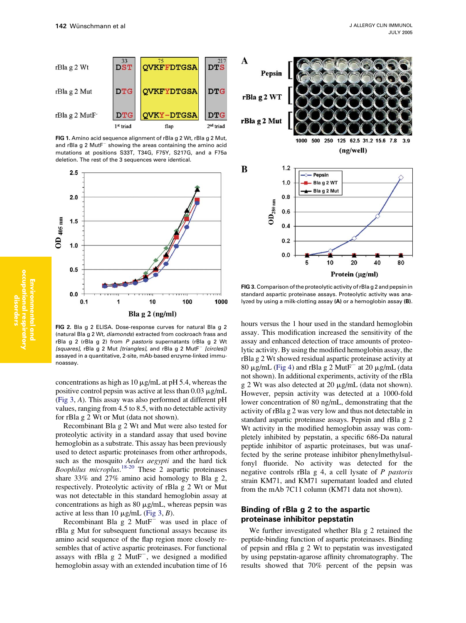<span id="page-2-0"></span>

FIG 1. Amino acid sequence alignment of rBla g 2 Wt, rBla g 2 Mut, and rBla g 2  $M$ ut $F^-$  showing the areas containing the amino acid mutations at positions S33T, T34G, F75Y, S217G, and a F75a deletion. The rest of the 3 sequences were identical.



FIG 2. Bla g 2 ELISA. Dose-response curves for natural Bla g 2 (natural Bla g 2 Wt, diamonds) extracted from cockroach frass and rBla g 2 (rBla g 2) from P pastoris supernatants (rBla g 2 Wt [squares], rBla g 2 Mut [triangles], and rBla g 2 Mut $F^-$  [circles]) assayed in a quantitative, 2-site, mAb-based enzyme-linked immunoassay.

concentrations as high as  $10 \mu g/mL$  at pH 5.4, whereas the positive control pepsin was active at less than  $0.03 \mu\text{g/mL}$ (Fig 3, A). This assay was also performed at different pH values, ranging from 4.5 to 8.5, with no detectable activity for rBla g 2 Wt or Mut (data not shown).

Recombinant Bla g 2 Wt and Mut were also tested for proteolytic activity in a standard assay that used bovine hemoglobin as a substrate. This assay has been previously used to detect aspartic proteinases from other arthropods, such as the mosquito *Aedes aegypti* and the hard tick Boophilus microplus.<sup>[18-20](#page-5-0)</sup> These 2 aspartic proteinases share 33% and 27% amino acid homology to Bla g 2, respectively. Proteolytic activity of rBla g 2 Wt or Mut was not detectable in this standard hemoglobin assay at concentrations as high as  $80 \mu g/mL$ , whereas pepsin was active at less than 10  $\mu$ g/mL (Fig 3, B).

Recombinant Bla  $g$  2 MutF<sup> $-$ </sup> was used in place of rBla g Mut for subsequent functional assays because its amino acid sequence of the flap region more closely resembles that of active aspartic proteinases. For functional assays with rBla  $g$  2 MutF<sup> $-$ </sup>, we designed a modified hemoglobin assay with an extended incubation time of 16



FIG 3. Comparison of the proteolytic activity of rBla g 2 and pepsin in standard aspartic proteinase assays. Proteolytic activity was analyzed by using a milk-clotting assay (A) or a hemoglobin assay (B).

hours versus the 1 hour used in the standard hemoglobin assay. This modification increased the sensitivity of the assay and enhanced detection of trace amounts of proteolytic activity. By using the modified hemoglobin assay, the rBla g 2 Wt showed residual aspartic proteinase activity at 80  $\mu$ g/mL ([Fig 4](#page-3-0)) and rBla g 2 MutF<sup>-</sup> at 20  $\mu$ g/mL (data not shown). In additional experiments, activity of the rBla g 2 Wt was also detected at 20  $\mu$ g/mL (data not shown). However, pepsin activity was detected at a 1000-fold lower concentration of 80 ng/mL, demonstrating that the activity of rBla g 2 was very low and thus not detectable in standard aspartic proteinase assays. Pepsin and rBla g 2 Wt activity in the modified hemoglobin assay was completely inhibited by pepstatin, a specific 686-Da natural peptide inhibitor of aspartic proteinases, but was unaffected by the serine protease inhibitor phenylmethylsulfonyl fluoride. No activity was detected for the negative controls rBla g 4, a cell lysate of P pastoris strain KM71, and KM71 supernatant loaded and eluted from the mAb 7C11 column (KM71 data not shown).

# Binding of rBla g 2 to the aspartic proteinase inhibitor pepstatin

We further investigated whether Bla g 2 retained the peptide-binding function of aspartic proteinases. Binding of pepsin and rBla g 2 Wt to pepstatin was investigated by using pepstatin-agarose affinity chromatography. The results showed that 70% percent of the pepsin was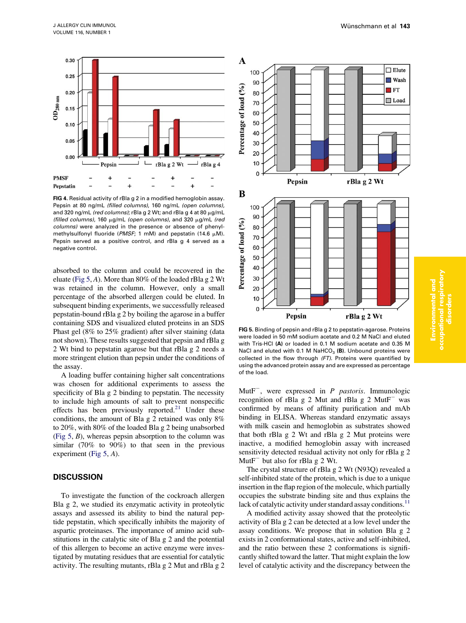<span id="page-3-0"></span>

FIG 4. Residual activity of rBla g 2 in a modified hemoglobin assay. Pepsin at 80 ng/mL (filled columns), 160 ng/mL (open columns), and 320 ng/mL (red columns); rBla g 2 Wt; and rBla g 4 at 80  $\mu$ g/mL (filled columns), 160  $\mu$ g/mL (open columns), and 320  $\mu$ g/mL (red columns) were analyzed in the presence or absence of phenylmethylsulfonyl fluoride (PMSF; 1 mM) and pepstatin (14.6  $\mu$ M). Pepsin served as a positive control, and rBla g 4 served as a negative control.

absorbed to the column and could be recovered in the eluate (Fig 5, A). More than 80% of the loaded rBla g 2 Wt was retained in the column. However, only a small percentage of the absorbed allergen could be eluted. In subsequent binding experiments, we successfully released pepstatin-bound rBla g 2 by boiling the agarose in a buffer containing SDS and visualized eluted proteins in an SDS Phast gel (8% to 25% gradient) after silver staining (data not shown). These results suggested that pepsin and rBla g 2 Wt bind to pepstatin agarose but that rBla g 2 needs a more stringent elution than pepsin under the conditions of the assay.

A loading buffer containing higher salt concentrations was chosen for additional experiments to assess the specificity of Bla g 2 binding to pepstatin. The necessity to include high amounts of salt to prevent nonspecific effects has been previously reported.<sup>[21](#page-5-0)</sup> Under these conditions, the amount of Bla g 2 retained was only 8% to 20%, with 80% of the loaded Bla g 2 being unabsorbed (Fig  $5, B$ ), whereas pepsin absorption to the column was similar (70% to 90%) to that seen in the previous experiment (Fig 5, A).

# **DISCUSSION**

To investigate the function of the cockroach allergen Bla g 2, we studied its enzymatic activity in proteolytic assays and assessed its ability to bind the natural peptide pepstatin, which specifically inhibits the majority of aspartic proteinases. The importance of amino acid substitutions in the catalytic site of Bla g 2 and the potential of this allergen to become an active enzyme were investigated by mutating residues that are essential for catalytic activity. The resulting mutants, rBla g 2 Mut and rBla g 2



FIG 5. Binding of pepsin and rBla g 2 to pepstatin-agarose. Proteins were loaded in 50 mM sodium acetate and 0.2 M NaCl and eluted with Tris-HCl (A) or loaded in 0.1 M sodium acetate and 0.35 M NaCl and eluted with 0.1 M NaHCO<sub>3</sub> (B). Unbound proteins were collected in the flow through (FT). Proteins were quantified by using the advanced protein assay and are expressed as percentage of the load.

MutF<sup>-</sup>, were expressed in *P pastoris*. Immunologic recognition of rBla g 2 Mut and rBla g 2 Mut $F^-$  was confirmed by means of affinity purification and mAb binding in ELISA. Whereas standard enzymatic assays with milk casein and hemoglobin as substrates showed that both rBla g 2 Wt and rBla g 2 Mut proteins were inactive, a modified hemoglobin assay with increased sensitivity detected residual activity not only for rBla g 2 Mut $F^-$  but also for rBla g 2 Wt.

The crystal structure of rBla g 2 Wt (N93Q) revealed a self-inhibited state of the protein, which is due to a unique insertion in the flap region of the molecule, which partially occupies the substrate binding site and thus explains the lack of catalytic activity under standard assay conditions.<sup>[11](#page-5-0)</sup>

A modified activity assay showed that the proteolytic activity of Bla g 2 can be detected at a low level under the assay conditions. We propose that in solution Bla g 2 exists in 2 conformational states, active and self-inhibited, and the ratio between these 2 conformations is significantly shifted toward the latter. That might explain the low level of catalytic activity and the discrepancy between the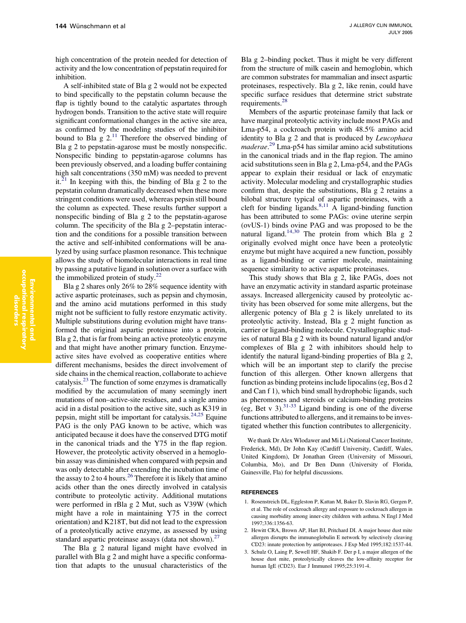<span id="page-4-0"></span>high concentration of the protein needed for detection of activity and the low concentration of pepstatin required for inhibition.

A self-inhibited state of Bla g 2 would not be expected to bind specifically to the pepstatin column because the flap is tightly bound to the catalytic aspartates through hydrogen bonds. Transition to the active state will require significant conformational changes in the active site area, as confirmed by the modeling studies of the inhibitor bound to Bla g  $2^{11}$  Therefore the observed binding of Bla g 2 to pepstatin-agarose must be mostly nonspecific. Nonspecific binding to pepstatin-agarose columns has been previously observed, and a loading buffer containing high salt concentrations (350 mM) was needed to prevent it. $2<sup>1</sup>$  In keeping with this, the binding of Bla g 2 to the pepstatin column dramatically decreased when these more stringent conditions were used, whereas pepsin still bound the column as expected. These results further support a nonspecific binding of Bla g 2 to the pepstatin-agarose column. The specificity of the Bla g 2–pepstatin interaction and the conditions for a possible transition between the active and self-inhibited conformations will be analyzed by using surface plasmon resonance. This technique allows the study of biomolecular interactions in real time by passing a putative ligand in solution over a surface with the immobilized protein of study.[22](#page-5-0)

Bla g 2 shares only 26% to 28% sequence identity with active aspartic proteinases, such as pepsin and chymosin, and the amino acid mutations performed in this study might not be sufficient to fully restore enzymatic activity. Multiple substitutions during evolution might have transformed the original aspartic proteinase into a protein, Bla g 2, that is far from being an active proteolytic enzyme and that might have another primary function. Enzymeactive sites have evolved as cooperative entities where different mechanisms, besides the direct involvement of side chains in the chemical reaction, collaborate to achieve catalysis.[23](#page-5-0) The function of some enzymes is dramatically modified by the accumulation of many seemingly inert mutations of non–active-site residues, and a single amino acid in a distal position to the active site, such as K319 in pepsin, might still be important for catalysis.  $24.25$  Equine PAG is the only PAG known to be active, which was anticipated because it does have the conserved DTG motif in the canonical triads and the Y75 in the flap region. However, the proteolytic activity observed in a hemoglobin assay was diminished when compared with pepsin and was only detectable after extending the incubation time of the assay to 2 to 4 hours.<sup>[26](#page-5-0)</sup> Therefore it is likely that amino acids other than the ones directly involved in catalysis contribute to proteolytic activity. Additional mutations were performed in rBla g 2 Mut, such as V39W (which might have a role in maintaining Y75 in the correct orientation) and K218T, but did not lead to the expression of a proteolytically active enzyme, as assessed by using standard aspartic proteinase assays (data not shown).<sup>[27](#page-5-0)</sup>

The Bla g 2 natural ligand might have evolved in parallel with Bla g 2 and might have a specific conformation that adapts to the unusual characteristics of the Bla g 2–binding pocket. Thus it might be very different from the structure of milk casein and hemoglobin, which are common substrates for mammalian and insect aspartic proteinases, respectively. Bla g 2, like renin, could have specific surface residues that determine strict substrate requirements.[28](#page-5-0)

Members of the aspartic proteinase family that lack or have marginal proteolytic activity include most PAGs and Lma-p54, a cockroach protein with 48.5% amino acid identity to Bla g 2 and that is produced by Leucophaea maderae. [29](#page-5-0) Lma-p54 has similar amino acid substitutions in the canonical triads and in the flap region. The amino acid substitutions seen in Bla g 2, Lma-p54, and the PAGs appear to explain their residual or lack of enzymatic activity. Molecular modeling and crystallographic studies confirm that, despite the substitutions, Bla g 2 retains a bilobal structure typical of aspartic proteinases, with a cleft for binding ligands. $8,11$  A ligand-binding function has been attributed to some PAGs: ovine uterine serpin (ovUS-1) binds ovine PAG and was proposed to be the natural ligand.<sup>[14,30](#page-5-0)</sup> The protein from which Bla g 2 originally evolved might once have been a proteolytic enzyme but might have acquired a new function, possibly as a ligand-binding or carrier molecule, maintaining sequence similarity to active aspartic proteinases.

This study shows that Bla g 2, like PAGs, does not have an enzymatic activity in standard aspartic proteinase assays. Increased allergenicity caused by proteolytic activity has been observed for some mite allergens, but the allergenic potency of Bla g 2 is likely unrelated to its proteolytic activity. Instead, Bla g 2 might function as carrier or ligand-binding molecule. Crystallographic studies of natural Bla g 2 with its bound natural ligand and/or complexes of Bla g 2 with inhibitors should help to identify the natural ligand-binding properties of Bla g 2, which will be an important step to clarify the precise function of this allergen. Other known allergens that function as binding proteins include lipocalins (eg, Bos d 2 and Can f 1), which bind small hydrophobic ligands, such as pheromones and steroids or calcium-binding proteins (eg, Bet v 3).  $31-33$  Ligand binding is one of the diverse functions attributed to allergens, and it remains to be investigated whether this function contributes to allergenicity.

We thank Dr Alex Wlodawer and Mi Li (National Cancer Institute, Frederick, Md), Dr John Kay (Cardiff University, Cardiff, Wales, United Kingdom), Dr Jonathan Green (University of Missouri, Columbia, Mo), and Dr Ben Dunn (University of Florida, Gainesville, Fla) for helpful discussions.

#### **REFERENCES**

- 1. Rosenstreich DL, Eggleston P, Kattan M, Baker D, Slavin RG, Gergen P, et al. The role of cockroach allergy and exposure to cockroach allergen in causing morbidity among inner-city children with asthma. N Engl J Med 1997;336:1356-63.
- 2. Hewitt CRA, Brown AP, Hart BJ, Pritchard DI. A major house dust mite allergen disrupts the immunoglobulin E network by selectively cleaving CD23: innate protection by antiproteases. J Exp Med 1995;182:1537-44.
- 3. Schulz O, Laing P, Sewell HF, Shakib F. Der p I, a major allergen of the house dust mite, proteolytically cleaves the low-affinity receptor for human IgE (CD23). Eur J Immunol 1995;25:3191-4.